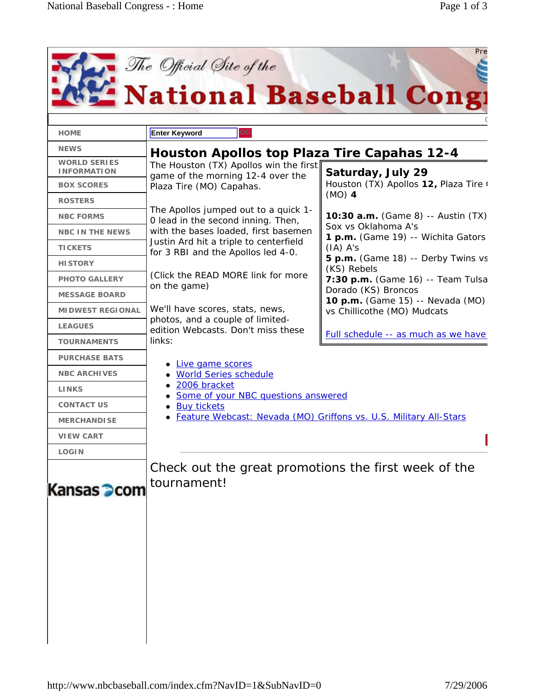| <b>HOME</b>                               | <b>GO</b><br><b>Enter Keyword</b>                                                                                                                                                                                                                                                    |                                                                                                                                                                                                                              |
|-------------------------------------------|--------------------------------------------------------------------------------------------------------------------------------------------------------------------------------------------------------------------------------------------------------------------------------------|------------------------------------------------------------------------------------------------------------------------------------------------------------------------------------------------------------------------------|
| <b>NEWS</b>                               | <b>Houston Apollos top Plaza Tire Capahas 12-4</b>                                                                                                                                                                                                                                   |                                                                                                                                                                                                                              |
| <b>WORLD SERIES</b><br><b>INFORMATION</b> | The Houston (TX) Apollos win the first<br>Saturday, July 29<br>game of the morning 12-4 over the                                                                                                                                                                                     |                                                                                                                                                                                                                              |
| <b>BOX SCORES</b>                         | Plaza Tire (MO) Capahas.<br>The Apollos jumped out to a quick 1-<br>0 lead in the second inning. Then,<br>with the bases loaded, first basemen<br>Justin Ard hit a triple to centerfield<br>for 3 RBI and the Apollos led 4-0.<br>(Click the READ MORE link for more<br>on the game) | Houston (TX) Apollos 12, Plaza Tire (                                                                                                                                                                                        |
| <b>ROSTERS</b>                            |                                                                                                                                                                                                                                                                                      | $(MO)$ 4                                                                                                                                                                                                                     |
| <b>NBC FORMS</b>                          |                                                                                                                                                                                                                                                                                      | 10:30 a.m. (Game 8) -- Austin (TX)                                                                                                                                                                                           |
| <b>NBC IN THE NEWS</b>                    |                                                                                                                                                                                                                                                                                      | Sox vs Oklahoma A's<br>1 p.m. (Game 19) -- Wichita Gators<br>$(IA)$ A's<br>5 p.m. (Game 18) -- Derby Twins vs<br>(KS) Rebels<br>7:30 p.m. (Game 16) -- Team Tulsa<br>Dorado (KS) Broncos<br>10 p.m. (Game 15) -- Nevada (MO) |
| <b>TICKETS</b>                            |                                                                                                                                                                                                                                                                                      |                                                                                                                                                                                                                              |
| <b>HISTORY</b>                            |                                                                                                                                                                                                                                                                                      |                                                                                                                                                                                                                              |
| <b>PHOTO GALLERY</b>                      |                                                                                                                                                                                                                                                                                      |                                                                                                                                                                                                                              |
| <b>MESSAGE BOARD</b>                      |                                                                                                                                                                                                                                                                                      |                                                                                                                                                                                                                              |
| <b>MIDWEST REGIONAL</b>                   | We'll have scores, stats, news,                                                                                                                                                                                                                                                      | vs Chillicothe (MO) Mudcats                                                                                                                                                                                                  |
| <b>LEAGUES</b>                            | photos, and a couple of limited-<br>edition Webcasts. Don't miss these<br>links:                                                                                                                                                                                                     |                                                                                                                                                                                                                              |
| <b>TOURNAMENTS</b>                        |                                                                                                                                                                                                                                                                                      | Full schedule -- as much as we have                                                                                                                                                                                          |
| <b>PURCHASE BATS</b>                      | • Live game scores<br><b>World Series schedule</b><br>2006 bracket<br>Some of your NBC questions answered<br><b>Buy tickets</b><br>Feature Webcast: Nevada (MO) Griffons vs. U.S. Military All-Stars                                                                                 |                                                                                                                                                                                                                              |
| <b>NBC ARCHIVES</b>                       |                                                                                                                                                                                                                                                                                      |                                                                                                                                                                                                                              |
| <b>LINKS</b>                              |                                                                                                                                                                                                                                                                                      |                                                                                                                                                                                                                              |
| <b>CONTACT US</b>                         |                                                                                                                                                                                                                                                                                      |                                                                                                                                                                                                                              |
| <b>MERCHANDISE</b>                        |                                                                                                                                                                                                                                                                                      |                                                                                                                                                                                                                              |
| <b>VIEW CART</b>                          |                                                                                                                                                                                                                                                                                      |                                                                                                                                                                                                                              |
| <b>LOGIN</b>                              |                                                                                                                                                                                                                                                                                      |                                                                                                                                                                                                                              |
| Kansas <b>D</b> com                       | Check out the great promotions the first week of the<br>tournament!                                                                                                                                                                                                                  |                                                                                                                                                                                                                              |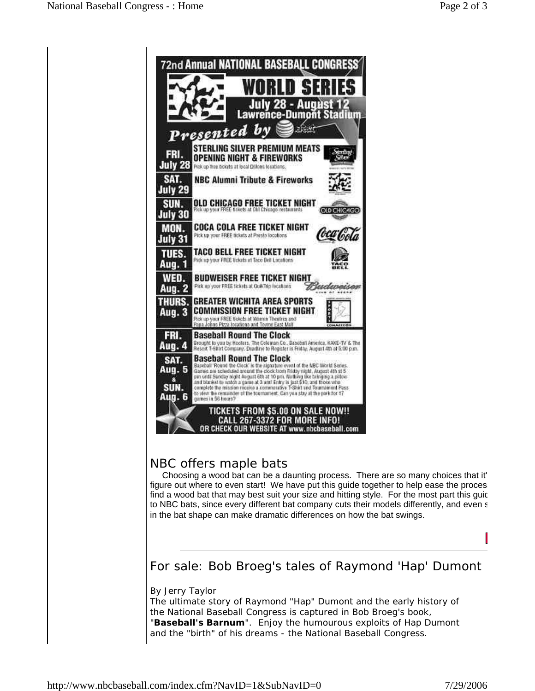

## NBC offers maple bats

 Choosing a wood bat can be a daunting process. There are so many choices that it' figure out where to even start! We have put this guide together to help ease the proces find a wood bat that may best suit your size and hitting style. For the most part this guiderto NBC bats, since every different bat company cuts their models differently, and even s in the bat shape can make dramatic differences on how the bat swings.

For sale: Bob Broeg's tales of Raymond 'Hap' Dumont

By Jerry Taylor

The ultimate story of Raymond "Hap" Dumont and the early history of the National Baseball Congress is captured in Bob Broeg's book, "*Baseball's Barnum*". Enjoy the humourous exploits of Hap Dumont and the "birth" of his dreams - the National Baseball Congress.